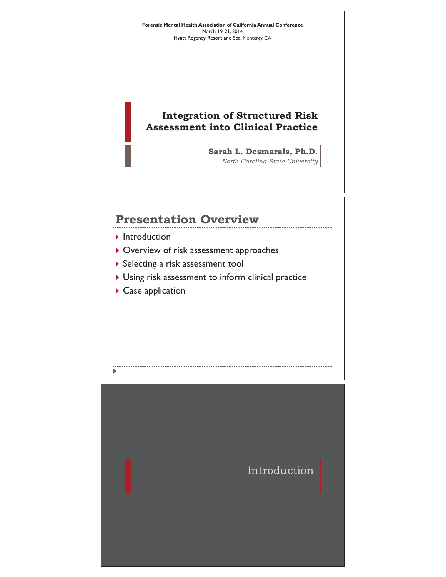**Forensic Mental Health Association of California Annual Conference**  March 19-21, 2014 Hyatt Regency Resort and Spa, Monterey, CA

#### **Integration of Structured Risk Assessment into Clinical Practice**

**Sarah L. Desmarais, Ph.D.**  *North Carolina State University* 

## **Presentation Overview**

- $\blacktriangleright$  Introduction
- $\blacktriangleright$  Overview of risk assessment approaches
- **>** Selecting a risk assessment tool
- $\triangleright$  Using risk assessment to inform clinical practice

 $\triangleright$  Case application

Þ

Introduction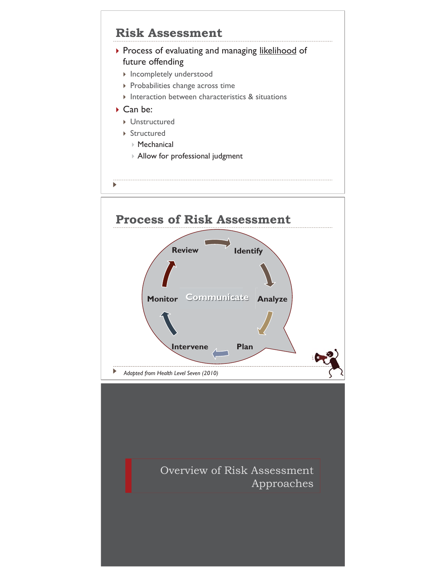

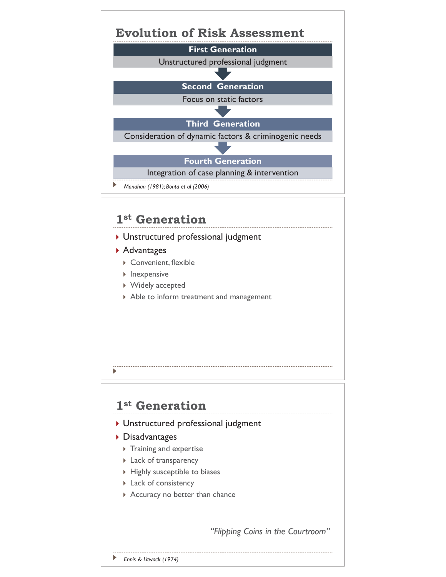

- $\triangleright$  Convenient, flexible
- $\triangleright$  Inexpensive
- ▶ Widely accepted
- $\triangleright$  Able to inform treatment and management

## **1st Generation**

- **I** Unstructured professional judgment
- ▶ Disadvantages
	- $\triangleright$  Training and expertise
	- **Lack of transparency**
	- $\triangleright$  Highly susceptible to biases
	- $\triangleright$  Lack of consistency
	- Accuracy no better than chance

*"Flipping Coins in the Courtroom"*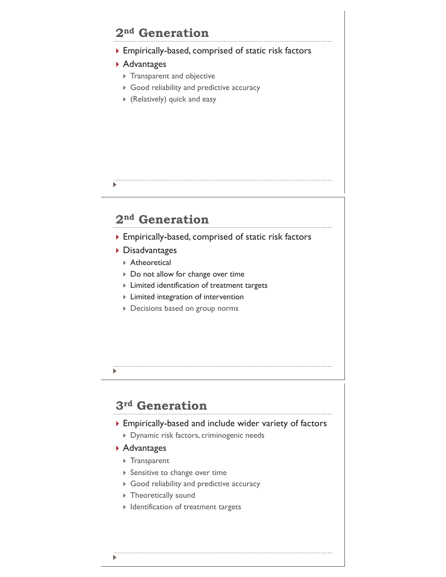# **2nd Generation**

- $\triangleright$  Empirically-based, comprised of static risk factors
- ▶ Advantages
	- $\triangleright$  Transparent and objective
	- $\triangleright$  Good reliability and predictive accuracy
	- $\triangleright$  (Relatively) quick and easy

# **2nd Generation**

- ▶ Empirically-based, comprised of static risk factors
- ▶ Disadvantages
	- ▶ Atheoretical
	- ▶ Do not allow for change over time
	- $\triangleright$  Limited identification of treatment targets
	- $\triangleright$  Limited integration of intervention
	- **Decisions based on group norms**

# **3rd Generation**

- $\triangleright$  Empirically-based and include wider variety of factors
	- ` Dynamic risk factors, criminogenic needs
- ▶ Advantages
	- ▶ Transparent
	- $\triangleright$  Sensitive to change over time
	- ▶ Good reliability and predictive accuracy
	- $\triangleright$  Theoretically sound
	- $\blacktriangleright$  Identification of treatment targets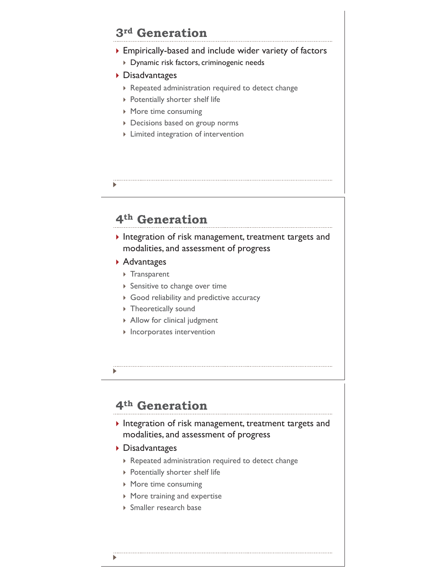## **3rd Generation**

- ` Empirically-based and include wider variety of factors
	- ` Dynamic risk factors, criminogenic needs
- ▶ Disadvantages
	- $\triangleright$  Repeated administration required to detect change
	- **>** Potentially shorter shelf life
	- $\triangleright$  More time consuming
	- **Decisions based on group norms**
	- $\triangleright$  Limited integration of intervention
- 

## **4th Generation**

 $\blacktriangleright$  Integration of risk management, treatment targets and modalities, and assessment of progress

- ▶ Advantages
	- ▶ Transparent
	- $\triangleright$  Sensitive to change over time
	- ▶ Good reliability and predictive accuracy
	- $\triangleright$  Theoretically sound
	- $\triangleright$  Allow for clinical judgment
	- $\blacktriangleright$  Incorporates intervention
- 

## **4th Generation**

- $\blacktriangleright$  Integration of risk management, treatment targets and modalities, and assessment of progress
- ▶ Disadvantages
	- $\triangleright$  Repeated administration required to detect change
	- $\triangleright$  Potentially shorter shelf life
	- $\triangleright$  More time consuming
	- $\triangleright$  More training and expertise
	- ▶ Smaller research base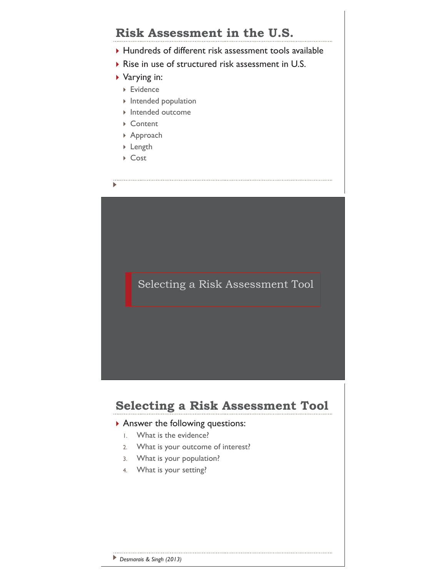# **Risk Assessment in the U.S.**

- $\blacktriangleright$  Hundreds of different risk assessment tools available
- $\triangleright$  Rise in use of structured risk assessment in U.S.
- ▶ Varying in:
	- ▶ Evidence
	- $\triangleright$  Intended population
	- $\blacktriangleright$  Intended outcome
	- ▶ Content
	- ▶ Approach
	- ▶ Length
	- ` Cost

 $\blacktriangleright$ 

Selecting a Risk Assessment Tool

# **Selecting a Risk Assessment Tool**

#### $\blacktriangleright$  Answer the following questions:

- 1. What is the evidence?
- 2. What is your outcome of interest?
- 3. What is your population?
- 4. What is your setting?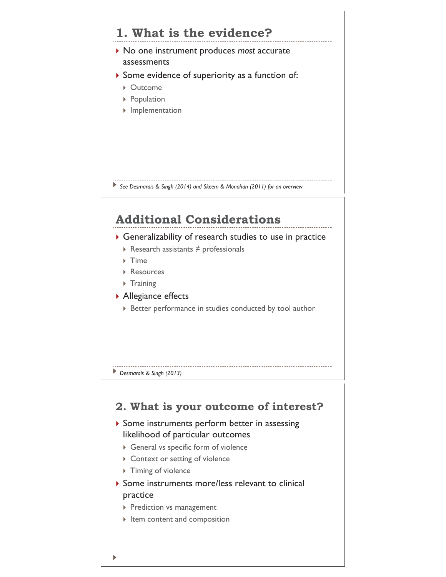# **1. What is the evidence?**

- ▶ No one instrument produces *most* accurate assessments
- $\triangleright$  Some evidence of superiority as a function of:
	- ▶ Outcome
	- ▶ Population
	- **I** Implementation

*See Desmarais & Singh (2014) and Skeem & Monahan (2011) for an overview*

## **Additional Considerations**

- $\triangleright$  Generalizability of research studies to use in practice
	- $\triangleright$  Research assistants  $\neq$  professionals
	- $\triangleright$  Time
	- ▶ Resources
	- $\triangleright$  Training
- ▶ Allegiance effects
	- ` Better performance in studies conducted by tool author

#### *Desmarais & Singh (2013)*

### **2. What is your outcome of interest?**

- $\triangleright$  Some instruments perform better in assessing likelihood of particular outcomes
	- $\triangleright$  General vs specific form of violence
	- ▶ Context or setting of violence
	- $\triangleright$  Timing of violence
- $\triangleright$  Some instruments more/less relevant to clinical practice
	- **Prediction vs management**
	- $\triangleright$  Item content and composition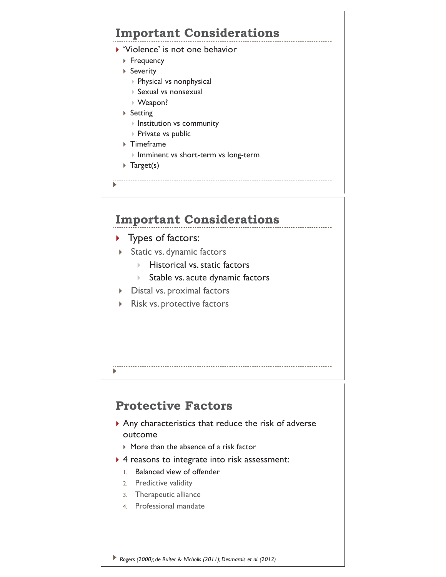# **Important Considerations**

- ▶ 'Violence' is not one behavior
	- ▶ Frequency
	- ▶ Severity
		- ` Physical vs nonphysical
		- ` Sexual vs nonsexual
		- ▶ Weapon?
	- ▶ Setting
		- $\triangleright$  Institution vs community
		- $\triangleright$  Private vs public
	- $\triangleright$  Timeframe
		- ` Imminent vs short-term vs long-term
	- $\triangleright$  Target(s)
- 

# **Important Considerations**

- $\blacktriangleright$  Types of factors:
- **Static vs. dynamic factors** 
	- $\blacktriangleright$  Historical vs. static factors
	- $\triangleright$  Stable vs. acute dynamic factors
- $\triangleright$  Distal vs. proximal factors
- $\triangleright$  Risk vs. protective factors

# **Protective Factors**

- $\triangleright$  Any characteristics that reduce the risk of adverse outcome
	- $\triangleright$  More than the absence of a risk factor
- $\triangleright$  4 reasons to integrate into risk assessment:
	- 1. Balanced view of offender
	- 2. Predictive validity
	- 3. Therapeutic alliance
	- 4. Professional mandate

*Rogers (2000); de Ruiter & Nicholls (2011); Desmarais et al. (2012)*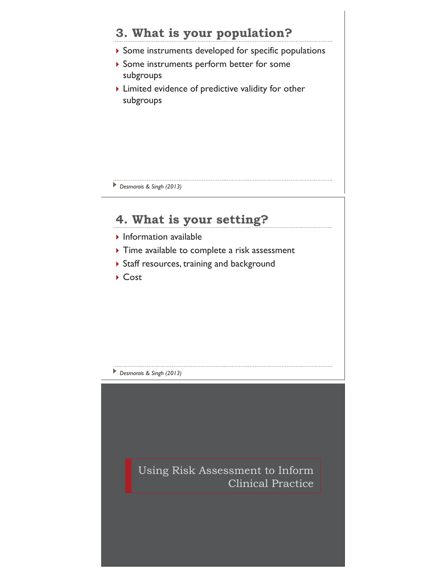# **3. What is your population?**

- $\triangleright$  Some instruments developed for specific populations
- $\blacktriangleright$  Some instruments perform better for some subgroups
- $\blacktriangleright$  Limited evidence of predictive validity for other subgroups

*Desmarais & Singh (2013)* 

# **4. What is your setting?**

- $\blacktriangleright$  Information available
- $\triangleright$  Time available to complete a risk assessment
- ▶ Staff resources, training and background
- ▶ Cost

*Desmarais & Singh (2013)* 

Using Risk Assessment to Inform Clinical Practice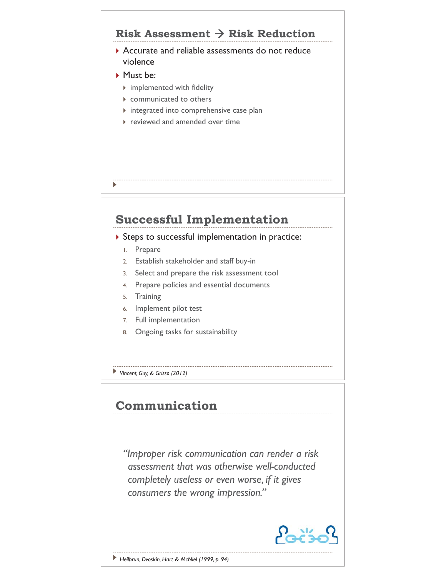## **Risk Assessment → Risk Reduction**

- ▶ Accurate and reliable assessments do not reduce violence
- ` Must be:
	- $\triangleright$  implemented with fidelity
	- $\triangleright$  communicated to others
	- $\triangleright$  integrated into comprehensive case plan
	- $\triangleright$  reviewed and amended over time

# **Successful Implementation**

#### $\triangleright$  Steps to successful implementation in practice:

1. Prepare

 $\blacktriangleright$ 

- 2. Establish stakeholder and staff buy-in
- 3. Select and prepare the risk assessment tool
- 4. Prepare policies and essential documents
- 5. Training
- 6. Implement pilot test
- 7. Full implementation
- 8. Ongoing tasks for sustainability
- *Vincent, Guy, & Grisso (2012)*

## **Communication**

*"Improper risk communication can render a risk assessment that was otherwise well-conducted completely useless or even worse, if it gives consumers the wrong impression."*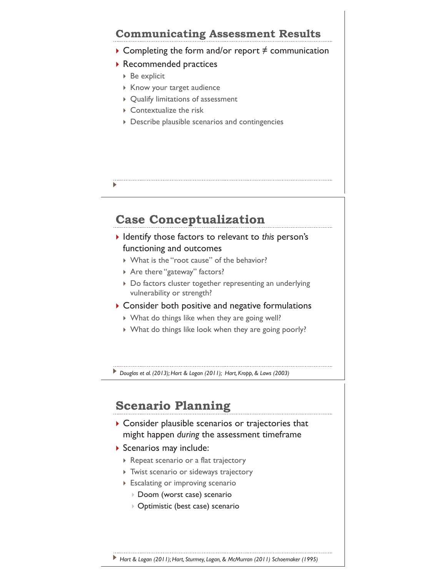## **Communicating Assessment Results**

- $\triangleright$  Completing the form and/or report  $\neq$  communication
- ▶ Recommended practices
	- $\triangleright$  Be explicit
	- ▶ Know your target audience
	- $\rightarrow$  Qualify limitations of assessment
	- $\triangleright$  Contextualize the risk
	- $\triangleright$  Describe plausible scenarios and contingencies
- 

# **Case Conceptualization**

- ` Identify those factors to relevant to *this* person's functioning and outcomes
	- ▶ What is the "root cause" of the behavior?
	- ▶ Are there "gateway" factors?
	- $\triangleright$  Do factors cluster together representing an underlying vulnerability or strength?
- $\triangleright$  Consider both positive and negative formulations
	- ` What do things like when they are going well?
	- $\triangleright$  What do things like look when they are going poorly?

*Douglas et al. (2013); Hart & Logan (2011); Hart, Kropp, & Laws (2003)* 

## **Scenario Planning**

- $\triangleright$  Consider plausible scenarios or trajectories that might happen *during* the assessment timeframe
- ` Scenarios may include:
	- ` Repeat scenario or a flat trajectory
	- $\triangleright$  Twist scenario or sideways trajectory
	- $\triangleright$  Escalating or improving scenario
		- ▶ Doom (worst case) scenario
		- ▶ Optimistic (best case) scenario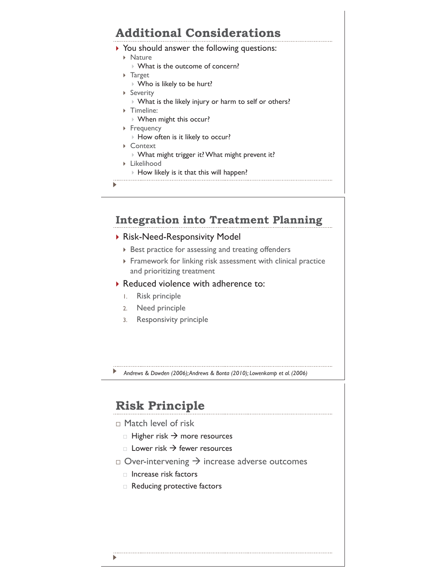# **Additional Considerations**

- $\triangleright$  You should answer the following questions:
	- $\triangleright$  Nature
		- ▶ What is the outcome of concern?
	- ▶ Target
		- $\triangleright$  Who is likely to be hurt?
	- ▶ Severity
		- ` What is the likely injury or harm to self or others?
	- $\triangleright$  Timeline:
		- ` When might this occur?
	- ▶ Frequency
		- ` How often is it likely to occur?
	- ▶ Context
		- ` What might trigger it? What might prevent it?
	- **Eikelihood** 
		- $\triangleright$  How likely is it that this will happen?

 $\blacktriangleright$ 

### **Integration into Treatment Planning**

#### ▶ Risk-Need-Responsivity Model

- $\triangleright$  Best practice for assessing and treating offenders
- $\triangleright$  Framework for linking risk assessment with clinical practice and prioritizing treatment
- $\triangleright$  Reduced violence with adherence to:
	- 1. Risk principle
	- 2. Need principle
	- 3. Responsivity principle
- *Andrews & Dowden (2006); Andrews & Bonta (2010); Lowenkamp et al. (2006)*

# **Risk Principle**

#### Match level of risk

- $\Box$  Higher risk  $\rightarrow$  more resources
- $\Box$  Lower risk  $\rightarrow$  fewer resources
- $\Box$  Over-intervening  $\rightarrow$  increase adverse outcomes
	- $\Box$  Increase risk factors
	- □ Reducing protective factors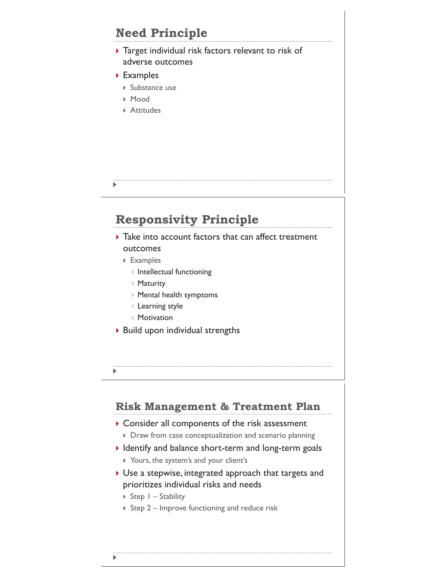# **Need Principle**

- $\rightarrow$  Target individual risk factors relevant to risk of adverse outcomes
- ▶ Examples
	- $\triangleright$  Substance use
	- ` Mood
	- **Attitudes**

# **Responsivity Principle**

- $\blacktriangleright$  Take into account factors that can affect treatment outcomes
	- ▶ Examples
		- $\triangleright$  Intellectual functioning
		- $\triangleright$  Maturity
		- ` Mental health symptoms
		- $\triangleright$  Learning style
		- $\triangleright$  Motivation
- $\triangleright$  Build upon individual strengths
- 

### **Risk Management & Treatment Plan**

- $\triangleright$  Consider all components of the risk assessment
	- $\triangleright$  Draw from case conceptualization and scenario planning
- I Identify and balance short-term and long-term goals
	- ▶ Yours, the system's and your client's
- $\triangleright$  Use a stepwise, integrated approach that targets and prioritizes individual risks and needs
	- $\triangleright$  Step  $1 -$  Stability
	- $\triangleright$  Step 2 Improve functioning and reduce risk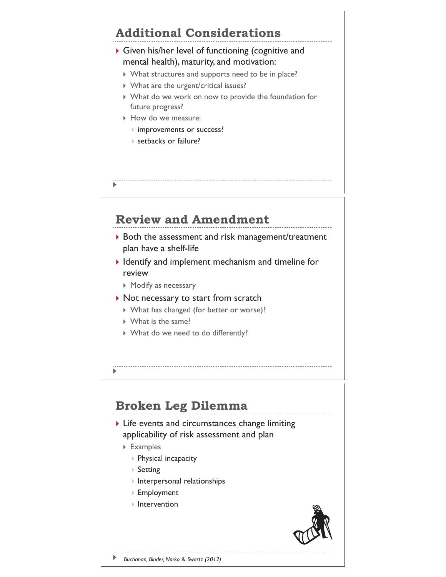# **Additional Considerations**

#### $\triangleright$  Given his/her level of functioning (cognitive and mental health), maturity, and motivation:

- $\triangleright$  What structures and supports need to be in place?
- $\triangleright$  What are the urgent/critical issues?
- ` What do we work on now to provide the foundation for future progress?
- $\triangleright$  How do we measure:
	- ` improvements or success?
	- ▶ setbacks or failure?
- 

# **Review and Amendment**

- $\triangleright$  Both the assessment and risk management/treatment plan have a shelf-life
- $\blacktriangleright$  Identify and implement mechanism and timeline for review
	- $\triangleright$  Modify as necessary
- $\blacktriangleright$  Not necessary to start from scratch
	- ` What has changed (for better or worse)?
	- $\triangleright$  What is the same?
	- ▶ What do we need to do differently?
- 

# **Broken Leg Dilemma**

- $\triangleright$  Life events and circumstances change limiting applicability of risk assessment and plan
	- ▶ Examples
		- ▶ Physical incapacity
		- $\triangleright$  Setting
		- $\triangleright$  Interpersonal relationships
		- ` Employment
		- $\triangleright$  Intervention

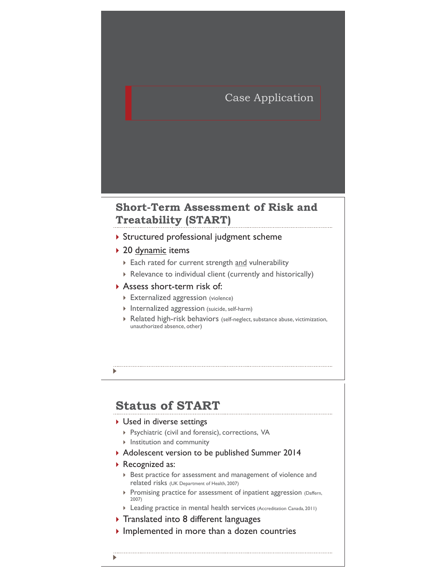### Case Application

### **Short-Term Assessment of Risk and Treatability (START)**

- **Structured professional judgment scheme**
- ▶ 20 dynamic items
	- Each rated for current strength and vulnerability
	- $\triangleright$  Relevance to individual client (currently and historically)
- **Assess short-term risk of:** 
	- **Externalized aggression** (violence)
	- $\triangleright$  Internalized aggression (suicide, self-harm)
	- $\triangleright$  Related high-risk behaviors (self-neglect, substance abuse, victimization, unauthorized absence, other)

#### Þ

### **Status of START**

#### ▶ Used in diverse settings

- ▶ Psychiatric (civil and forensic), corrections, VA
- $\triangleright$  Institution and community
- ` Adolescent version to be published Summer 2014
- ▶ Recognized as:
	- ▶ Best practice for assessment and management of violence and related risks (UK Department of Health, 2007)
	- **Promising practice for assessment of inpatient aggression (Daffern,** 2007)
	- **Leading practice in mental health services** (Accreditation Canada, 2011)
- $\triangleright$  Translated into 8 different languages
- $\triangleright$  Implemented in more than a dozen countries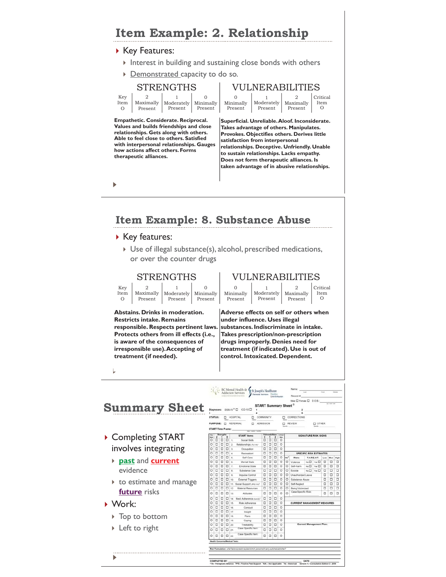

COMPLETED BY:<br>"TA - Therapeutic Alliance. <sup>1</sup>995 - Positive Peer Support. <sup>1</sup>N/A - Not A